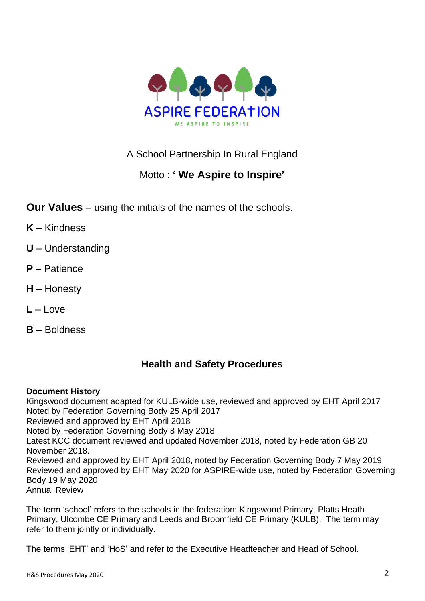

# A School Partnership In Rural England

# Motto : **' We Aspire to Inspire'**

- **Our Values** using the initials of the names of the schools.
- **K** Kindness
- **U** Understanding
- **P** Patience
- **H** Honesty
- **L** Love
- **B** Boldness

# **Health and Safety Procedures**

# **Document History**

Kingswood document adapted for KULB-wide use, reviewed and approved by EHT April 2017 Noted by Federation Governing Body 25 April 2017 Reviewed and approved by EHT April 2018 Noted by Federation Governing Body 8 May 2018 Latest KCC document reviewed and updated November 2018, noted by Federation GB 20 November 2018. Reviewed and approved by EHT April 2018, noted by Federation Governing Body 7 May 2019 Reviewed and approved by EHT May 2020 for ASPIRE-wide use, noted by Federation Governing Body 19 May 2020 Annual Review

The term 'school' refers to the schools in the federation: Kingswood Primary, Platts Heath Primary, Ulcombe CE Primary and Leeds and Broomfield CE Primary (KULB). The term may refer to them jointly or individually.

The terms 'EHT' and 'HoS' and refer to the Executive Headteacher and Head of School.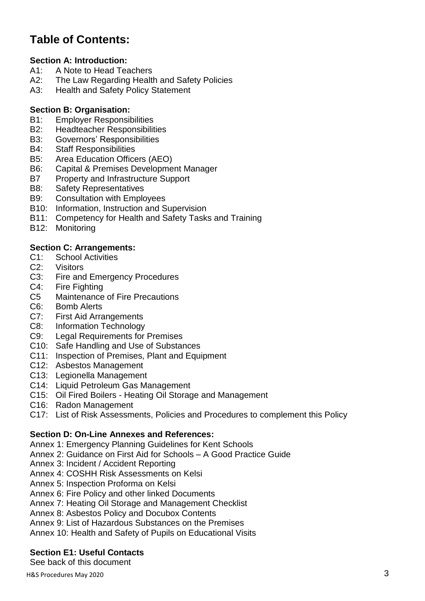# **Table of Contents:**

# **Section A: Introduction:**

- A1: A Note to Head Teachers
- A2: The Law Regarding Health and Safety Policies
- A3: Health and Safety Policy Statement

# **Section B: Organisation:**

- B1: Employer Responsibilities
- B2: Headteacher Responsibilities
- B3: Governors' Responsibilities
- B4: Staff Responsibilities
- B5: Area Education Officers (AEO)
- B6: Capital & Premises Development Manager
- B7 Property and Infrastructure Support
- B8: Safety Representatives
- B9: Consultation with Employees
- B10: Information, Instruction and Supervision
- B11: Competency for Health and Safety Tasks and Training
- B12: Monitoring

# **Section C: Arrangements:**

- C1: School Activities
- C2: Visitors
- C3: Fire and Emergency Procedures
- C4: Fire Fighting
- C5 Maintenance of Fire Precautions
- C6: Bomb Alerts
- C7: First Aid Arrangements
- C8: Information Technology
- C9: Legal Requirements for Premises
- C10: Safe Handling and Use of Substances
- C11: Inspection of Premises, Plant and Equipment
- C12: Asbestos Management
- C13: Legionella Management
- C14: Liquid Petroleum Gas Management
- C15: Oil Fired Boilers Heating Oil Storage and Management
- C16: Radon Management
- C17: List of Risk Assessments, Policies and Procedures to complement this Policy

#### **Section D: On-Line Annexes and References:**

- Annex 1: Emergency Planning Guidelines for Kent Schools
- Annex 2: Guidance on First Aid for Schools A Good Practice Guide
- Annex 3: Incident / Accident Reporting
- Annex 4: COSHH Risk Assessments on Kelsi
- Annex 5: Inspection Proforma on Kelsi
- Annex 6: Fire Policy and other linked Documents
- Annex 7: Heating Oil Storage and Management Checklist
- Annex 8: Asbestos Policy and Docubox Contents
- Annex 9: List of Hazardous Substances on the Premises
- Annex 10: Health and Safety of Pupils on Educational Visits

#### **Section E1: Useful Contacts**

See back of this document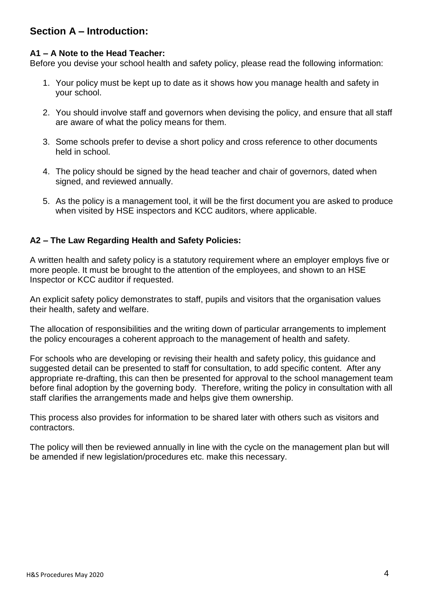# **Section A – Introduction:**

## **A1 – A Note to the Head Teacher:**

Before you devise your school health and safety policy, please read the following information:

- 1. Your policy must be kept up to date as it shows how you manage health and safety in your school.
- 2. You should involve staff and governors when devising the policy, and ensure that all staff are aware of what the policy means for them.
- 3. Some schools prefer to devise a short policy and cross reference to other documents held in school.
- 4. The policy should be signed by the head teacher and chair of governors, dated when signed, and reviewed annually.
- 5. As the policy is a management tool, it will be the first document you are asked to produce when visited by HSE inspectors and KCC auditors, where applicable.

# **A2 – The Law Regarding Health and Safety Policies:**

A written health and safety policy is a statutory requirement where an employer employs five or more people. It must be brought to the attention of the employees, and shown to an HSE Inspector or KCC auditor if requested.

An explicit safety policy demonstrates to staff, pupils and visitors that the organisation values their health, safety and welfare.

The allocation of responsibilities and the writing down of particular arrangements to implement the policy encourages a coherent approach to the management of health and safety.

For schools who are developing or revising their health and safety policy, this guidance and suggested detail can be presented to staff for consultation, to add specific content. After any appropriate re-drafting, this can then be presented for approval to the school management team before final adoption by the governing body. Therefore, writing the policy in consultation with all staff clarifies the arrangements made and helps give them ownership.

This process also provides for information to be shared later with others such as visitors and contractors.

The policy will then be reviewed annually in line with the cycle on the management plan but will be amended if new legislation/procedures etc. make this necessary.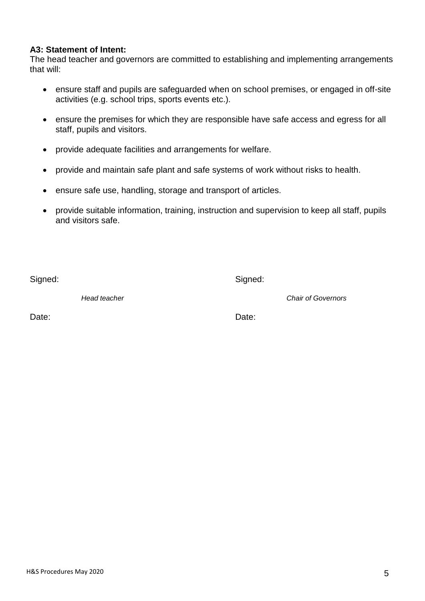H&S Procedures May 2020

#### **A3: Statement of Intent:**

The head teacher and governors are committed to establishing and implementing arrangements that will:

- ensure staff and pupils are safeguarded when on school premises, or engaged in off-site activities (e.g. school trips, sports events etc.).
- ensure the premises for which they are responsible have safe access and egress for all staff, pupils and visitors.
- provide adequate facilities and arrangements for welfare.
- provide and maintain safe plant and safe systems of work without risks to health.
- ensure safe use, handling, storage and transport of articles.
- provide suitable information, training, instruction and supervision to keep all staff, pupils and visitors safe.

Signed: Signed: Signed: Signed: Signed: Signed: Signed: Signed: Signed: Signed: Signed: Signed: Signed: Signed: Signed: Signed: Signed: Signed: Signed: Signed: Signed: Signed: Signed: Signed: Signed: Signed: Signed: Signed

*Head teacher Chair of Governors*

Date: **Date: Date: Date: Date: Date: Date: Date: Date: Date: Date:**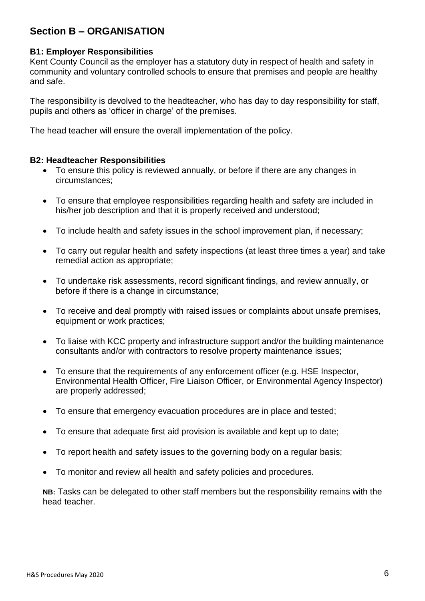# **Section B – ORGANISATION**

#### **B1: Employer Responsibilities**

Kent County Council as the employer has a statutory duty in respect of health and safety in community and voluntary controlled schools to ensure that premises and people are healthy and safe.

The responsibility is devolved to the headteacher, who has day to day responsibility for staff, pupils and others as 'officer in charge' of the premises.

The head teacher will ensure the overall implementation of the policy.

#### **B2: Headteacher Responsibilities**

- To ensure this policy is reviewed annually, or before if there are any changes in circumstances;
- To ensure that employee responsibilities regarding health and safety are included in his/her job description and that it is properly received and understood;
- To include health and safety issues in the school improvement plan, if necessary;
- To carry out regular health and safety inspections (at least three times a year) and take remedial action as appropriate;
- To undertake risk assessments, record significant findings, and review annually, or before if there is a change in circumstance;
- To receive and deal promptly with raised issues or complaints about unsafe premises, equipment or work practices;
- To liaise with KCC property and infrastructure support and/or the building maintenance consultants and/or with contractors to resolve property maintenance issues;
- To ensure that the requirements of any enforcement officer (e.g. HSE Inspector, Environmental Health Officer, Fire Liaison Officer, or Environmental Agency Inspector) are properly addressed;
- To ensure that emergency evacuation procedures are in place and tested;
- To ensure that adequate first aid provision is available and kept up to date;
- To report health and safety issues to the governing body on a regular basis;
- To monitor and review all health and safety policies and procedures.

**NB:** Tasks can be delegated to other staff members but the responsibility remains with the head teacher.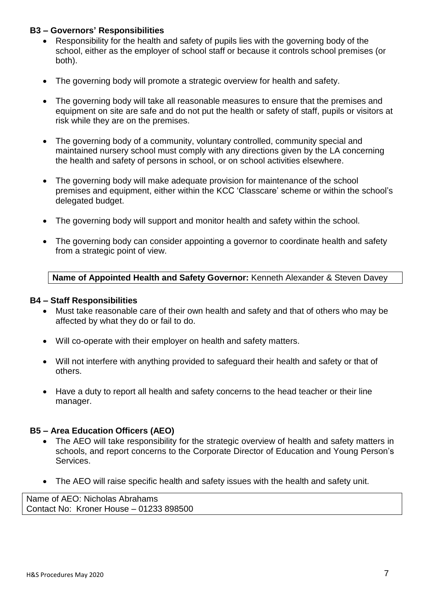## **B3 – Governors' Responsibilities**

- Responsibility for the health and safety of pupils lies with the governing body of the school, either as the employer of school staff or because it controls school premises (or both).
- The governing body will promote a strategic overview for health and safety.
- The governing body will take all reasonable measures to ensure that the premises and equipment on site are safe and do not put the health or safety of staff, pupils or visitors at risk while they are on the premises.
- The governing body of a community, voluntary controlled, community special and maintained nursery school must comply with any directions given by the LA concerning the health and safety of persons in school, or on school activities elsewhere.
- The governing body will make adequate provision for maintenance of the school premises and equipment, either within the KCC 'Classcare' scheme or within the school's delegated budget.
- The governing body will support and monitor health and safety within the school.
- The governing body can consider appointing a governor to coordinate health and safety from a strategic point of view.

#### **Name of Appointed Health and Safety Governor:** Kenneth Alexander & Steven Davey

#### **B4 – Staff Responsibilities**

- Must take reasonable care of their own health and safety and that of others who may be affected by what they do or fail to do.
- Will co-operate with their employer on health and safety matters.
- Will not interfere with anything provided to safeguard their health and safety or that of others.
- Have a duty to report all health and safety concerns to the head teacher or their line manager.

#### **B5 – Area Education Officers (AEO)**

- The AEO will take responsibility for the strategic overview of health and safety matters in schools, and report concerns to the Corporate Director of Education and Young Person's Services.
- The AEO will raise specific health and safety issues with the health and safety unit.

Name of AEO: Nicholas Abrahams Contact No: Kroner House – 01233 898500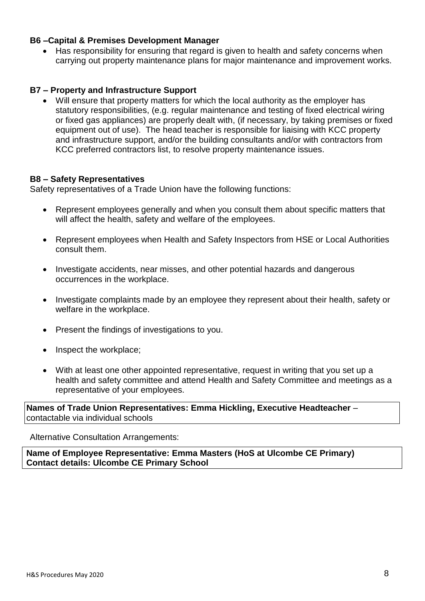#### **B6 –Capital & Premises Development Manager**

• Has responsibility for ensuring that regard is given to health and safety concerns when carrying out property maintenance plans for major maintenance and improvement works.

#### **B7 – Property and Infrastructure Support**

• Will ensure that property matters for which the local authority as the employer has statutory responsibilities, (e.g. regular maintenance and testing of fixed electrical wiring or fixed gas appliances) are properly dealt with, (if necessary, by taking premises or fixed equipment out of use). The head teacher is responsible for liaising with KCC property and infrastructure support, and/or the building consultants and/or with contractors from KCC preferred contractors list, to resolve property maintenance issues.

#### **B8 – Safety Representatives**

Safety representatives of a Trade Union have the following functions:

- Represent employees generally and when you consult them about specific matters that will affect the health, safety and welfare of the employees.
- Represent employees when Health and Safety Inspectors from HSE or Local Authorities consult them.
- Investigate accidents, near misses, and other potential hazards and dangerous occurrences in the workplace.
- Investigate complaints made by an employee they represent about their health, safety or welfare in the workplace.
- Present the findings of investigations to you.
- Inspect the workplace;
- With at least one other appointed representative, request in writing that you set up a health and safety committee and attend Health and Safety Committee and meetings as a representative of your employees.

**Names of Trade Union Representatives: Emma Hickling, Executive Headteacher** – contactable via individual schools

Alternative Consultation Arrangements:

**Name of Employee Representative: Emma Masters (HoS at Ulcombe CE Primary) Contact details: Ulcombe CE Primary School**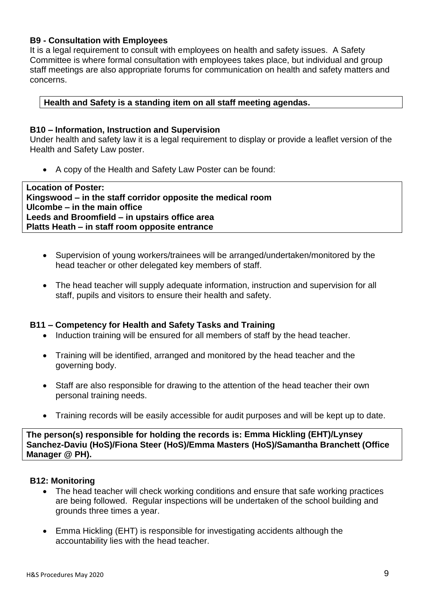## **B9 - Consultation with Employees**

It is a legal requirement to consult with employees on health and safety issues. A Safety Committee is where formal consultation with employees takes place, but individual and group staff meetings are also appropriate forums for communication on health and safety matters and concerns.

## **Health and Safety is a standing item on all staff meeting agendas.**

#### **B10 – Information, Instruction and Supervision**

Under health and safety law it is a legal requirement to display or provide a leaflet version of the Health and Safety Law poster.

• A copy of the Health and Safety Law Poster can be found:

| <b>Location of Poster:</b>                                  |
|-------------------------------------------------------------|
| Kingswood – in the staff corridor opposite the medical room |
| Ulcombe – in the main office                                |
| Leeds and Broomfield – in upstairs office area              |
| Platts Heath – in staff room opposite entrance              |

- Supervision of young workers/trainees will be arranged/undertaken/monitored by the head teacher or other delegated key members of staff.
- The head teacher will supply adequate information, instruction and supervision for all staff, pupils and visitors to ensure their health and safety.

#### **B11 – Competency for Health and Safety Tasks and Training**

- Induction training will be ensured for all members of staff by the head teacher.
- Training will be identified, arranged and monitored by the head teacher and the governing body.
- Staff are also responsible for drawing to the attention of the head teacher their own personal training needs.
- Training records will be easily accessible for audit purposes and will be kept up to date.

**The person(s) responsible for holding the records is: Emma Hickling (EHT)/Lynsey Sanchez-Daviu (HoS)/Fiona Steer (HoS)/Emma Masters (HoS)/Samantha Branchett (Office Manager @ PH).** 

#### **B12: Monitoring**

- The head teacher will check working conditions and ensure that safe working practices are being followed. Regular inspections will be undertaken of the school building and grounds three times a year.
- Emma Hickling (EHT) is responsible for investigating accidents although the accountability lies with the head teacher.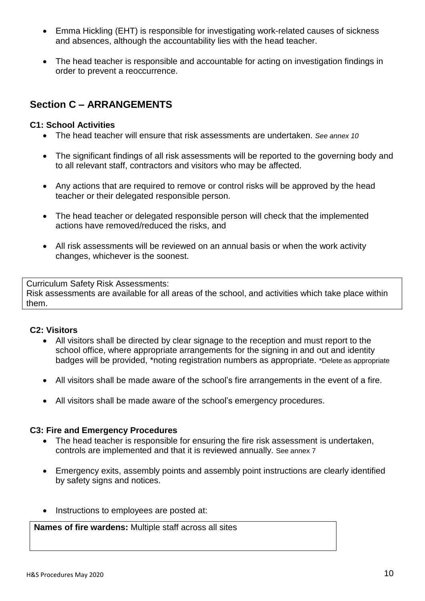- Emma Hickling (EHT) is responsible for investigating work-related causes of sickness and absences, although the accountability lies with the head teacher.
- The head teacher is responsible and accountable for acting on investigation findings in order to prevent a reoccurrence.

# **Section C – ARRANGEMENTS**

#### **C1: School Activities**

- The head teacher will ensure that risk assessments are undertaken. *See annex 10*
- The significant findings of all risk assessments will be reported to the governing body and to all relevant staff, contractors and visitors who may be affected.
- Any actions that are required to remove or control risks will be approved by the head teacher or their delegated responsible person.
- The head teacher or delegated responsible person will check that the implemented actions have removed/reduced the risks, and
- All risk assessments will be reviewed on an annual basis or when the work activity changes, whichever is the soonest.

Curriculum Safety Risk Assessments: Risk assessments are available for all areas of the school, and activities which take place within them.

#### **C2: Visitors**

- All visitors shall be directed by clear signage to the reception and must report to the school office, where appropriate arrangements for the signing in and out and identity badges will be provided, \*noting registration numbers as appropriate. \*Delete as appropriate
- All visitors shall be made aware of the school's fire arrangements in the event of a fire.
- All visitors shall be made aware of the school's emergency procedures.

#### **C3: Fire and Emergency Procedures**

- The head teacher is responsible for ensuring the fire risk assessment is undertaken, controls are implemented and that it is reviewed annually. See annex 7
- Emergency exits, assembly points and assembly point instructions are clearly identified by safety signs and notices.
- Instructions to employees are posted at:

**Names of fire wardens:** Multiple staff across all sites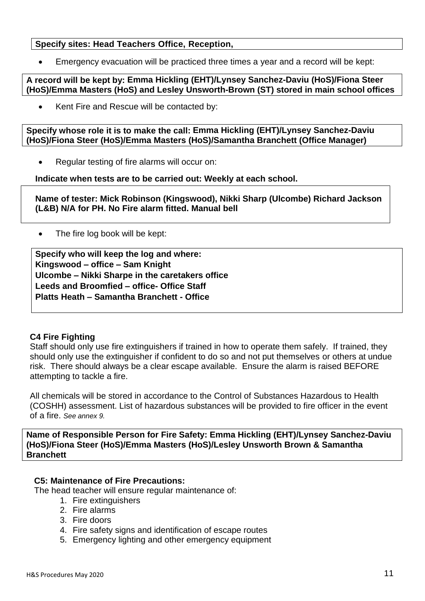## **Specify sites: Head Teachers Office, Reception,**

• Emergency evacuation will be practiced three times a year and a record will be kept:

**A record will be kept by: Emma Hickling (EHT)/Lynsey Sanchez-Daviu (HoS)/Fiona Steer (HoS)/Emma Masters (HoS) and Lesley Unsworth-Brown (ST) stored in main school offices**

Kent Fire and Rescue will be contacted by:

**Specify whose role it is to make the call: Emma Hickling (EHT)/Lynsey Sanchez-Daviu (HoS)/Fiona Steer (HoS)/Emma Masters (HoS)/Samantha Branchett (Office Manager)**

• Regular testing of fire alarms will occur on:

**Indicate when tests are to be carried out: Weekly at each school.**

**Name of tester: Mick Robinson (Kingswood), Nikki Sharp (Ulcombe) Richard Jackson (L&B) N/A for PH. No Fire alarm fitted. Manual bell**

The fire log book will be kept:

**Specify who will keep the log and where: Kingswood – office – Sam Knight Ulcombe – Nikki Sharpe in the caretakers office Leeds and Broomfied – office- Office Staff Platts Heath – Samantha Branchett - Office**

#### **C4 Fire Fighting**

Staff should only use fire extinguishers if trained in how to operate them safely. If trained, they should only use the extinguisher if confident to do so and not put themselves or others at undue risk. There should always be a clear escape available. Ensure the alarm is raised BEFORE attempting to tackle a fire.

All chemicals will be stored in accordance to the Control of Substances Hazardous to Health (COSHH) assessment. List of hazardous substances will be provided to fire officer in the event of a fire. *See annex 9.*

**Name of Responsible Person for Fire Safety: Emma Hickling (EHT)/Lynsey Sanchez-Daviu (HoS)/Fiona Steer (HoS)/Emma Masters (HoS)/Lesley Unsworth Brown & Samantha Branchett**

#### **C5: Maintenance of Fire Precautions:**

The head teacher will ensure regular maintenance of:

- 1. Fire extinguishers
- 2. Fire alarms
- 3. Fire doors
- 4. Fire safety signs and identification of escape routes
- 5. Emergency lighting and other emergency equipment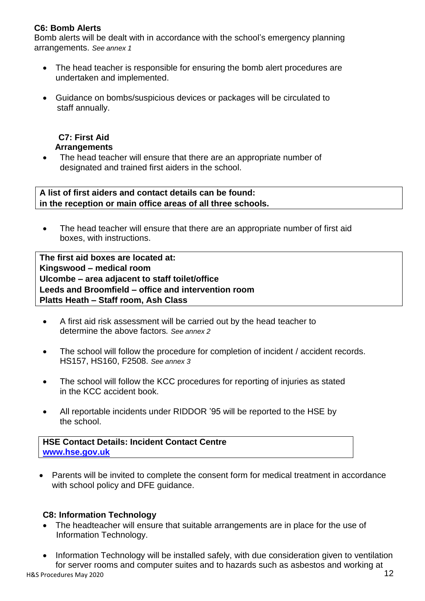# **C6: Bomb Alerts**

Bomb alerts will be dealt with in accordance with the school's emergency planning arrangements. *See annex 1*

- The head teacher is responsible for ensuring the bomb alert procedures are undertaken and implemented.
- Guidance on bombs/suspicious devices or packages will be circulated to staff annually.

## **C7: First Aid Arrangements**

• The head teacher will ensure that there are an appropriate number of designated and trained first aiders in the school.

**A list of first aiders and contact details can be found: in the reception or main office areas of all three schools.**

• The head teacher will ensure that there are an appropriate number of first aid boxes, with instructions.

**The first aid boxes are located at: Kingswood – medical room Ulcombe – area adjacent to staff toilet/office Leeds and Broomfield – office and intervention room Platts Heath – Staff room, Ash Class**

- A first aid risk assessment will be carried out by the head teacher to determine the above factors*. See annex 2*
- The school will follow the procedure for completion of incident / accident records. HS157, HS160, F2508. *See annex 3*
- The school will follow the KCC procedures for reporting of injuries as stated in the KCC accident book.
- All reportable incidents under RIDDOR '95 will be reported to the HSE by the school.

**HSE Contact Details: Incident Contact Centre [www.hse.gov.uk](http://www.hse.gov.uk/)**

• Parents will be invited to complete the consent form for medical treatment in accordance with school policy and DFE guidance.

#### **C8: Information Technology**

- The headteacher will ensure that suitable arrangements are in place for the use of Information Technology.
- H&S Procedures May 2020 **12** • Information Technology will be installed safely, with due consideration given to ventilation for server rooms and computer suites and to hazards such as asbestos and working at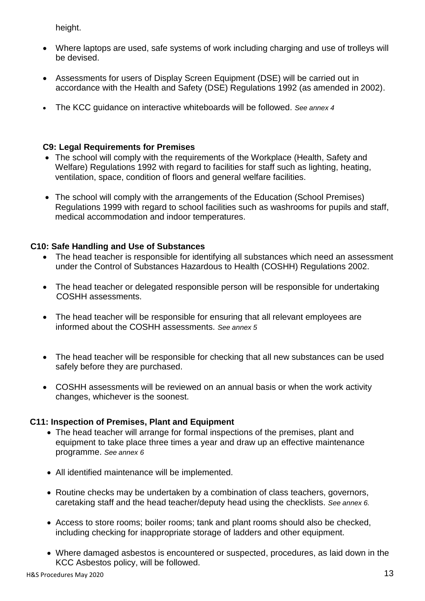height.

- Where laptops are used, safe systems of work including charging and use of trolleys will be devised.
- Assessments for users of Display Screen Equipment (DSE) will be carried out in accordance with the Health and Safety (DSE) Regulations 1992 (as amended in 2002).
- The KCC guidance on interactive whiteboards will be followed. *See annex 4*

# **C9: Legal Requirements for Premises**

- The school will comply with the requirements of the Workplace (Health, Safety and Welfare) Regulations 1992 with regard to facilities for staff such as lighting, heating, ventilation, space, condition of floors and general welfare facilities.
- The school will comply with the arrangements of the Education (School Premises) Regulations 1999 with regard to school facilities such as washrooms for pupils and staff, medical accommodation and indoor temperatures.

# **C10: Safe Handling and Use of Substances**

- The head teacher is responsible for identifying all substances which need an assessment under the Control of Substances Hazardous to Health (COSHH) Regulations 2002.
- The head teacher or delegated responsible person will be responsible for undertaking COSHH assessments.
- The head teacher will be responsible for ensuring that all relevant employees are informed about the COSHH assessments. *See annex 5*
- The head teacher will be responsible for checking that all new substances can be used safely before they are purchased.
- COSHH assessments will be reviewed on an annual basis or when the work activity changes, whichever is the soonest.

# **C11: Inspection of Premises, Plant and Equipment**

- The head teacher will arrange for formal inspections of the premises, plant and equipment to take place three times a year and draw up an effective maintenance programme. *See annex 6*
- All identified maintenance will be implemented.
- Routine checks may be undertaken by a combination of class teachers, governors, caretaking staff and the head teacher/deputy head using the checklists. *See annex 6.*
- Access to store rooms; boiler rooms; tank and plant rooms should also be checked, including checking for inappropriate storage of ladders and other equipment.
- Where damaged asbestos is encountered or suspected, procedures, as laid down in the KCC Asbestos policy, will be followed.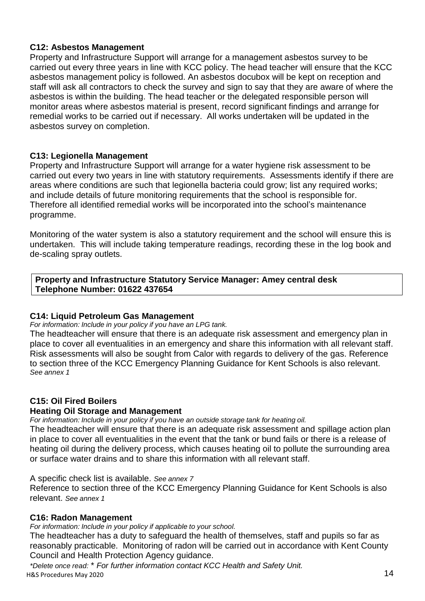## **C12: Asbestos Management**

Property and Infrastructure Support will arrange for a management asbestos survey to be carried out every three years in line with KCC policy. The head teacher will ensure that the KCC asbestos management policy is followed. An asbestos docubox will be kept on reception and staff will ask all contractors to check the survey and sign to say that they are aware of where the asbestos is within the building. The head teacher or the delegated responsible person will monitor areas where asbestos material is present, record significant findings and arrange for remedial works to be carried out if necessary. All works undertaken will be updated in the asbestos survey on completion.

## **C13: Legionella Management**

Property and Infrastructure Support will arrange for a water hygiene risk assessment to be carried out every two years in line with statutory requirements. Assessments identify if there are areas where conditions are such that legionella bacteria could grow; list any required works; and include details of future monitoring requirements that the school is responsible for. Therefore all identified remedial works will be incorporated into the school's maintenance programme.

Monitoring of the water system is also a statutory requirement and the school will ensure this is undertaken. This will include taking temperature readings, recording these in the log book and de-scaling spray outlets.

**Property and Infrastructure Statutory Service Manager: Amey central desk Telephone Number: 01622 437654**

#### **C14: Liquid Petroleum Gas Management**

*For information: Include in your policy if you have an LPG tank.*

The headteacher will ensure that there is an adequate risk assessment and emergency plan in place to cover all eventualities in an emergency and share this information with all relevant staff. Risk assessments will also be sought from Calor with regards to delivery of the gas. Reference to section three of the KCC Emergency Planning Guidance for Kent Schools is also relevant. *See annex 1*

# **C15: Oil Fired Boilers**

#### **Heating Oil Storage and Management**

*For information: Include in your policy if you have an outside storage tank for heating oil.*

The headteacher will ensure that there is an adequate risk assessment and spillage action plan in place to cover all eventualities in the event that the tank or bund fails or there is a release of heating oil during the delivery process, which causes heating oil to pollute the surrounding area or surface water drains and to share this information with all relevant staff.

A specific check list is available. *See annex 7*

Reference to section three of the KCC Emergency Planning Guidance for Kent Schools is also relevant. *See annex 1*

#### **C16: Radon Management**

*For information: Include in your policy if applicable to your school.*

The headteacher has a duty to safeguard the health of themselves, staff and pupils so far as reasonably practicable. Monitoring of radon will be carried out in accordance with Kent County Council and Health Protection Agency guidance.

H&S Procedures May 2020 and the contract of the contract of the contract of the contract of the contract of the contract of the contract of the contract of the contract of the contract of the contract of the contract of th *\*Delete once read:* \* *For further information contact KCC Health and Safety Unit.*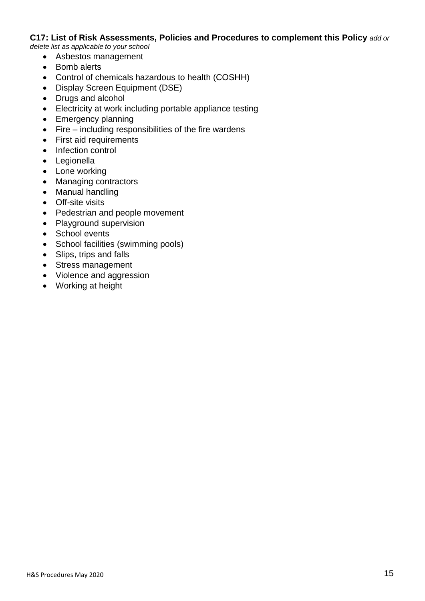#### **C17: List of Risk Assessments, Policies and Procedures to complement this Policy** *add or*

*delete list as applicable to your school*

- Asbestos management
- Bomb alerts
- Control of chemicals hazardous to health (COSHH)
- Display Screen Equipment (DSE)
- Drugs and alcohol
- Electricity at work including portable appliance testing
- Emergency planning
- Fire including responsibilities of the fire wardens
- First aid requirements
- Infection control
- Legionella
- Lone working
- Managing contractors
- Manual handling
- Off-site visits
- Pedestrian and people movement
- Playground supervision
- School events
- School facilities (swimming pools)
- Slips, trips and falls
- Stress management
- Violence and aggression
- Working at height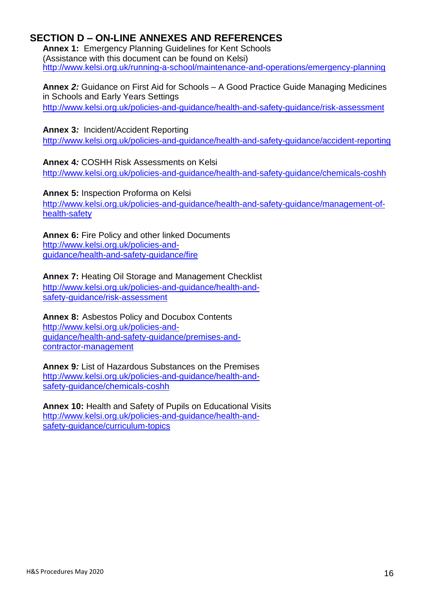# **SECTION D – ON-LINE ANNEXES AND REFERENCES**

**Annex 1:** Emergency Planning Guidelines for Kent Schools (Assistance with this document can be found on Kelsi) <http://www.kelsi.org.uk/running-a-school/maintenance-and-operations/emergency-planning>

**Annex** *2:* Guidance on First Aid for Schools – A Good Practice Guide Managing Medicines in Schools and Early Years Settings <http://www.kelsi.org.uk/policies-and-guidance/health-and-safety-guidance/risk-assessment>

**Annex 3***:* Incident/Accident Reporting

<http://www.kelsi.org.uk/policies-and-guidance/health-and-safety-guidance/accident-reporting>

**Annex 4***:* COSHH Risk Assessments on Kelsi <http://www.kelsi.org.uk/policies-and-guidance/health-and-safety-guidance/chemicals-coshh>

**Annex 5:** Inspection Proforma on Kelsi [http://www.kelsi.org.uk/policies-and-guidance/health-and-safety-guidance/management-of](http://www.kelsi.org.uk/policies-and-guidance/health-and-safety-guidance/management-of-health-safety)[health-safety](http://www.kelsi.org.uk/policies-and-guidance/health-and-safety-guidance/management-of-health-safety)

**Annex 6:** Fire Policy and other linked Documents [http://www.kelsi.org.uk/policies-and](http://www.kelsi.org.uk/policies-and-guidance/health-and-safety-guidance/fire)[guidance/health-and-safety-guidance/fire](http://www.kelsi.org.uk/policies-and-guidance/health-and-safety-guidance/fire)

**Annex 7:** Heating Oil Storage and Management Checklist [http://www.kelsi.org.uk/policies-and-guidance/health-and](http://www.kelsi.org.uk/policies-and-guidance/health-and-safety-guidance/risk-assessment)[safety-guidance/risk-assessment](http://www.kelsi.org.uk/policies-and-guidance/health-and-safety-guidance/risk-assessment)

**Annex 8:** Asbestos Policy and Docubox Contents [http://www.kelsi.org.uk/policies-and](http://www.kelsi.org.uk/policies-and-guidance/health-and-safety-guidance/premises-and-contractor-management)[guidance/health-and-safety-guidance/premises-and](http://www.kelsi.org.uk/policies-and-guidance/health-and-safety-guidance/premises-and-contractor-management)[contractor-management](http://www.kelsi.org.uk/policies-and-guidance/health-and-safety-guidance/premises-and-contractor-management)

**Annex 9***:* List of Hazardous Substances on the Premises [http://www.kelsi.org.uk/policies-and-guidance/health-and](http://www.kelsi.org.uk/policies-and-guidance/health-and-safety-guidance/chemicals-coshh)[safety-guidance/chemicals-coshh](http://www.kelsi.org.uk/policies-and-guidance/health-and-safety-guidance/chemicals-coshh)

**Annex 10:** Health and Safety of Pupils on Educational Visits [http://www.kelsi.org.uk/policies-and-guidance/health-and](http://www.kelsi.org.uk/policies-and-guidance/health-and-safety-guidance/curriculum-topics)[safety-guidance/curriculum-topics](http://www.kelsi.org.uk/policies-and-guidance/health-and-safety-guidance/curriculum-topics)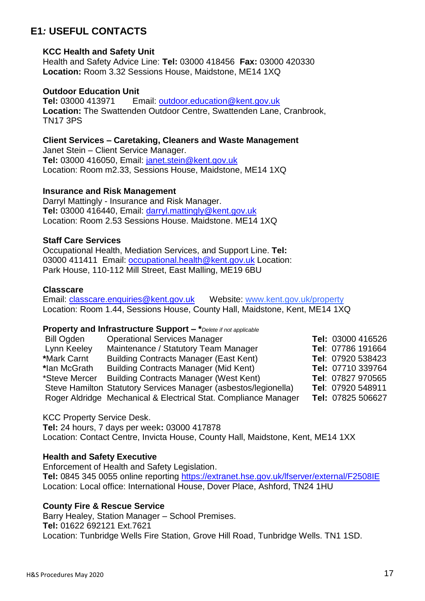# **E1***:* **USEFUL CONTACTS**

#### **KCC Health and Safety Unit**

Health and Safety Advice Line: **Tel:** 03000 418456 **Fax:** 03000 420330 **Location:** Room 3.32 Sessions House, Maidstone, ME14 1XQ

#### **Outdoor Education Unit**

**Tel:** 03000 413971 Email: [outdoor.education@kent.gov.uk](mailto:outdoor.education@kent.gov.uk) **Location:** The Swattenden Outdoor Centre, Swattenden Lane, Cranbrook, TN17 3PS

**Client Services – Caretaking, Cleaners and Waste Management**

Janet Stein – Client Service Manager. **Tel:** 03000 416050, Email: [janet.stein@kent.gov.uk](mailto:janet.stein@kent.gov.uk) Location: Room m2.33, Sessions House, Maidstone, ME14 1XQ

#### **Insurance and Risk Management**

Darryl Mattingly - Insurance and Risk Manager. **Tel:** 03000 416440, Email: [darryl.mattingly@kent.gov.uk](mailto:darryl.mattingly@kent.gov.uk) Location: Room 2.53 Sessions House. Maidstone. ME14 1XQ

#### **Staff Care Services**

Occupational Health, Mediation Services, and Support Line. **Tel:**  03000 411411 Email: [occupational.health@kent.gov.uk](mailto:occupational.health@kent.gov.uk) Location: Park House, 110-112 Mill Street, East Malling, ME19 6BU

#### **Classcare**

Email: [classcare.enquiries@kent.gov.uk](mailto:classcare.enquiries@kent.gov.uk) Website: [www.kent.gov.uk/property](http://www.kent.gov.uk/business/council_business_services/kcc_land_and_property.aspx) Location: Room 1.44, Sessions House, County Hall, Maidstone, Kent, ME14 1XQ

#### **Property and Infrastructure Support – \****Delete if not applicable*

| Bill Ogden    | <b>Operational Services Manager</b>                             | Tel: 03000 416526 |
|---------------|-----------------------------------------------------------------|-------------------|
| Lynn Keeley   | Maintenance / Statutory Team Manager                            | Tel: 07786 191664 |
| *Mark Carnt   | <b>Building Contracts Manager (East Kent)</b>                   | Tel: 07920 538423 |
| *lan McGrath  | <b>Building Contracts Manager (Mid Kent)</b>                    | Tel: 07710 339764 |
| *Steve Mercer | <b>Building Contracts Manager (West Kent)</b>                   | Tel: 07827 970565 |
|               | Steve Hamilton Statutory Services Manager (asbestos/legionella) | Tel: 07920 548911 |
|               | Roger Aldridge Mechanical & Electrical Stat. Compliance Manager | Tel: 07825 506627 |

#### KCC Property Service Desk.

**Tel:** 24 hours, 7 days per week**:** 03000 417878 Location: Contact Centre, Invicta House, County Hall, Maidstone, Kent, ME14 1XX

#### **Health and Safety Executive**

Enforcement of Health and Safety Legislation. **Tel:** 0845 345 0055 online reporting<https://extranet.hse.gov.uk/lfserver/external/F2508IE> Location: Local office: International House, Dover Place, Ashford, TN24 1HU

#### **County Fire & Rescue Service**

Barry Healey, Station Manager – School Premises. **Tel:** 01622 692121 Ext.7621 Location: Tunbridge Wells Fire Station, Grove Hill Road, Tunbridge Wells. TN1 1SD.